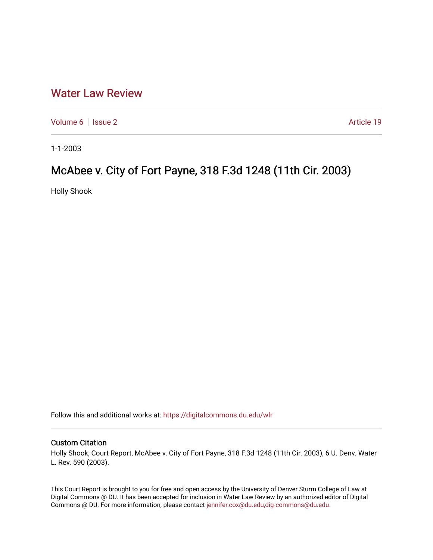## [Water Law Review](https://digitalcommons.du.edu/wlr)

[Volume 6](https://digitalcommons.du.edu/wlr/vol6) | [Issue 2](https://digitalcommons.du.edu/wlr/vol6/iss2) Article 19

1-1-2003

# McAbee v. City of Fort Payne, 318 F.3d 1248 (11th Cir. 2003)

Holly Shook

Follow this and additional works at: [https://digitalcommons.du.edu/wlr](https://digitalcommons.du.edu/wlr?utm_source=digitalcommons.du.edu%2Fwlr%2Fvol6%2Fiss2%2F19&utm_medium=PDF&utm_campaign=PDFCoverPages) 

## Custom Citation

Holly Shook, Court Report, McAbee v. City of Fort Payne, 318 F.3d 1248 (11th Cir. 2003), 6 U. Denv. Water L. Rev. 590 (2003).

This Court Report is brought to you for free and open access by the University of Denver Sturm College of Law at Digital Commons @ DU. It has been accepted for inclusion in Water Law Review by an authorized editor of Digital Commons @ DU. For more information, please contact [jennifer.cox@du.edu,dig-commons@du.edu.](mailto:jennifer.cox@du.edu,dig-commons@du.edu)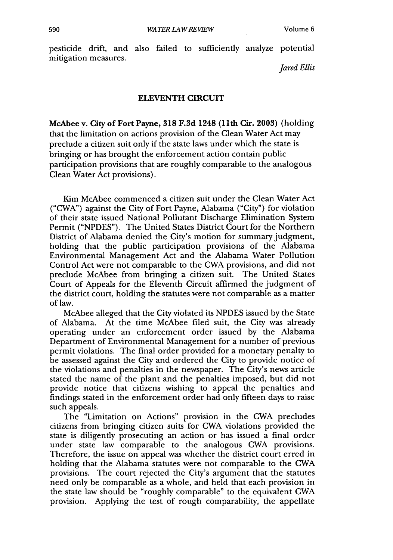pesticide drift, and also failed to sufficiently analyze potential mitigation measures.

*Jared Ellis*

### **ELEVENTH** CIRCUIT

McAbee **v.** City of Fort Payne, **318 F.3d** 1248 **(11th Cir. 2003)** (holding that the limitation on actions provision of the Clean Water Act may preclude a citizen suit only if the state laws under which the state is bringing or has brought the enforcement action contain public participation provisions that are roughly comparable to the analogous Clean Water Act provisions).

Kim McAbee commenced a citizen suit under the Clean Water Act ("CWA") against the City of Fort Payne, Alabama ("City") for violation of their state issued National Pollutant Discharge Elimination System Permit ("NPDES"). The United States District Court for the Northern District of Alabama denied the City's motion for summary judgment, holding that the public participation provisions of the Alabama Environmental Management Act and the Alabama Water Pollution Control Act were not comparable to the CWA provisions, and did not preclude McAbee from bringing a citizen suit. The United States Court of Appeals for the Eleventh Circuit affirmed the judgment of the district court, holding the statutes were not comparable as a matter of law.

McAbee alleged that the City violated its NPDES issued by the State of Alabama. At the time McAbee filed suit, the City was already operating under an enforcement order issued by the Alabama Department of Environmental Management for a number of previous permit violations. The final order provided for a monetary penalty to be assessed against the City and ordered the City to provide notice of the violations and penalties in the newspaper. The City's news article stated the name of the plant and the penalties imposed, but did not provide notice that citizens wishing to appeal the penalties and findings stated in the enforcement order had only fifteen days to raise such appeals.

The "Limitation on Actions" provision in the CWA precludes citizens from bringing citizen suits for CWA violations provided the state is diligently prosecuting an action or has issued a final order under state law comparable to the analogous CWA provisions. Therefore, the issue on appeal was whether the district court erred in holding that the Alabama statutes were not comparable to the CWA provisions. The court rejected the City's argument that the statutes need only be comparable as a whole, and held that each provision in the state law should be "roughly comparable" to the equivalent CWA provision. Applying the test of rough comparability, the appellate